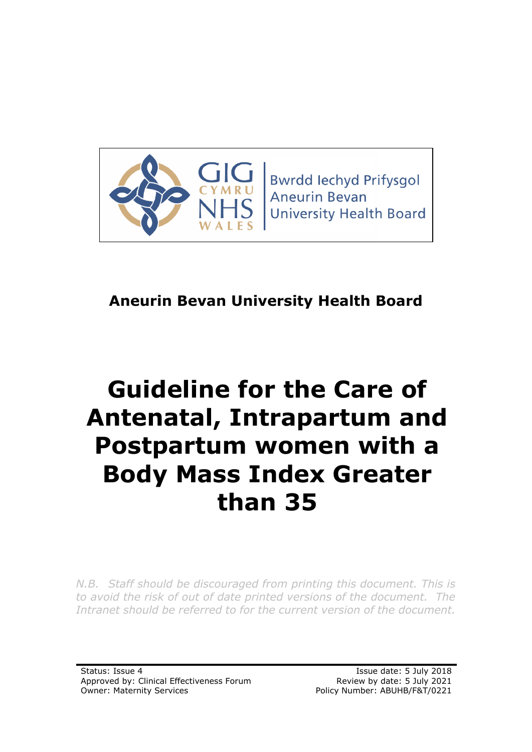

**Bwrdd lechyd Prifysgol Aneurin Bevan University Health Board** 

# **Aneurin Bevan University Health Board**

# **Guideline for the Care of Antenatal, Intrapartum and Postpartum women with a Body Mass Index Greater than 35**

*N.B. Staff should be discouraged from printing this document. This is to avoid the risk of out of date printed versions of the document. The Intranet should be referred to for the current version of the document.*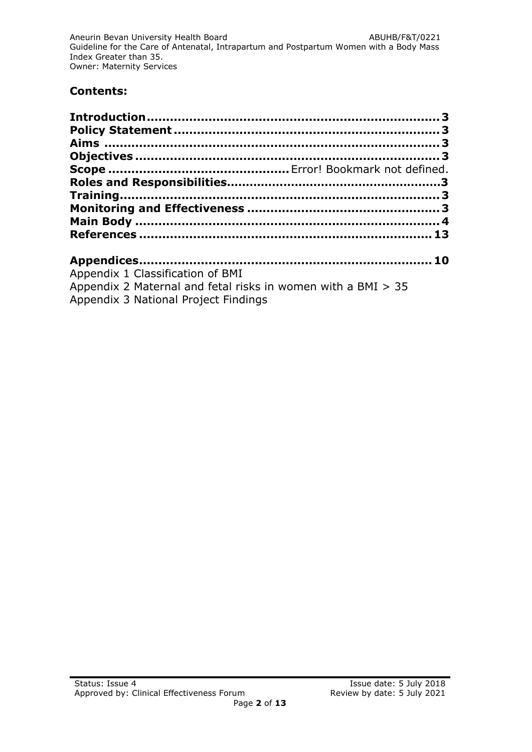#### **Contents:**

| Appendix 1 Classification of BMI                             |  |
|--------------------------------------------------------------|--|
| Appendix 2 Maternal and fetal risks in women with a BMI > 35 |  |
| Appendix 3 National Project Findings                         |  |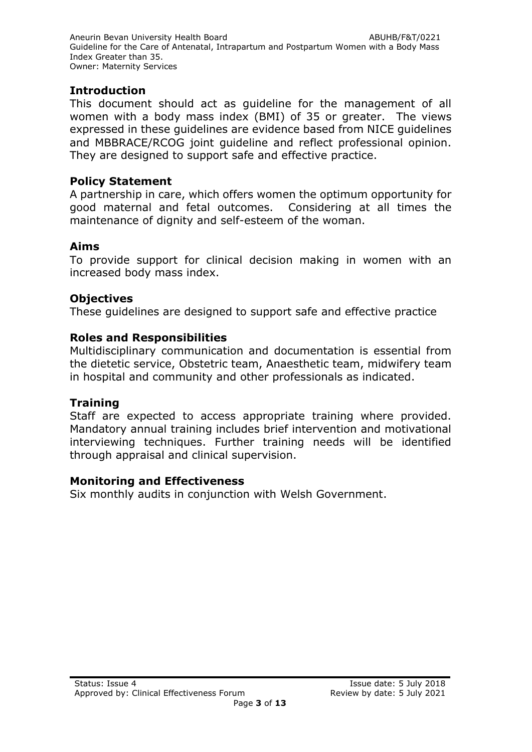#### <span id="page-2-0"></span>**Introduction**

This document should act as guideline for the management of all women with a body mass index (BMI) of 35 or greater. The views expressed in these guidelines are evidence based from NICE guidelines and MBBRACE/RCOG joint guideline and reflect professional opinion. They are designed to support safe and effective practice.

#### <span id="page-2-1"></span>**Policy Statement**

A partnership in care, which offers women the optimum opportunity for good maternal and fetal outcomes. Considering at all times the maintenance of dignity and self-esteem of the woman.

# <span id="page-2-2"></span>**Aims**

To provide support for clinical decision making in women with an increased body mass index.

#### <span id="page-2-3"></span>**Objectives**

These guidelines are designed to support safe and effective practice

#### <span id="page-2-4"></span>**Roles and Responsibilities**

Multidisciplinary communication and documentation is essential from the dietetic service, Obstetric team, Anaesthetic team, midwifery team in hospital and community and other professionals as indicated.

#### **Training**

Staff are expected to access appropriate training where provided. Mandatory annual training includes brief intervention and motivational interviewing techniques. Further training needs will be identified through appraisal and clinical supervision.

#### **Monitoring and Effectiveness**

Six monthly audits in conjunction with Welsh Government.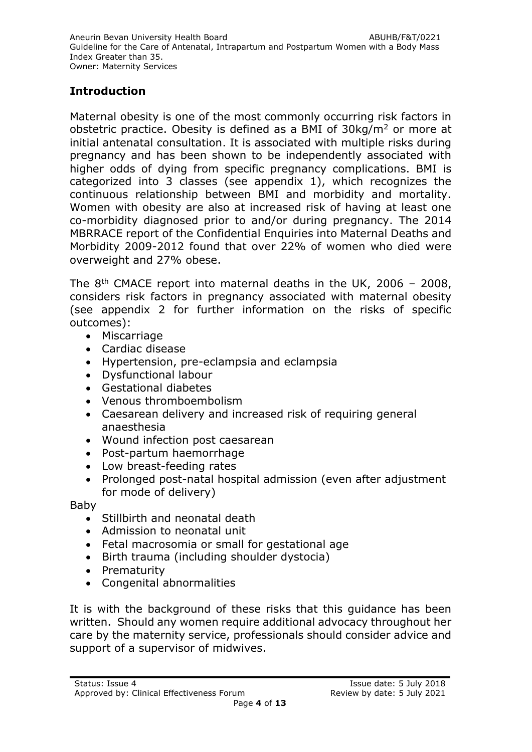# **Introduction**

Maternal obesity is one of the most commonly occurring risk factors in obstetric practice. Obesity is defined as a BMI of 30kg/m<sup>2</sup> or more at initial antenatal consultation. It is associated with multiple risks during pregnancy and has been shown to be independently associated with higher odds of dying from specific pregnancy complications. BMI is categorized into 3 classes (see appendix 1), which recognizes the continuous relationship between BMI and morbidity and mortality. Women with obesity are also at increased risk of having at least one co-morbidity diagnosed prior to and/or during pregnancy. The 2014 MBRRACE report of the Confidential Enquiries into Maternal Deaths and Morbidity 2009-2012 found that over 22% of women who died were overweight and 27% obese.

The  $8<sup>th</sup>$  CMACE report into maternal deaths in the UK, 2006 - 2008, considers risk factors in pregnancy associated with maternal obesity (see appendix 2 for further information on the risks of specific outcomes):

- Miscarriage
- Cardiac disease
- Hypertension, pre-eclampsia and eclampsia
- Dysfunctional labour
- Gestational diabetes
- Venous thromboembolism
- Caesarean delivery and increased risk of requiring general anaesthesia
- Wound infection post caesarean
- Post-partum haemorrhage
- Low breast-feeding rates
- Prolonged post-natal hospital admission (even after adjustment for mode of delivery)

Baby

- Stillbirth and neonatal death
- Admission to neonatal unit
- Fetal macrosomia or small for gestational age
- Birth trauma (including shoulder dystocia)
- Prematurity
- Congenital abnormalities

It is with the background of these risks that this guidance has been written. Should any women require additional advocacy throughout her care by the maternity service, professionals should consider advice and support of a supervisor of midwives.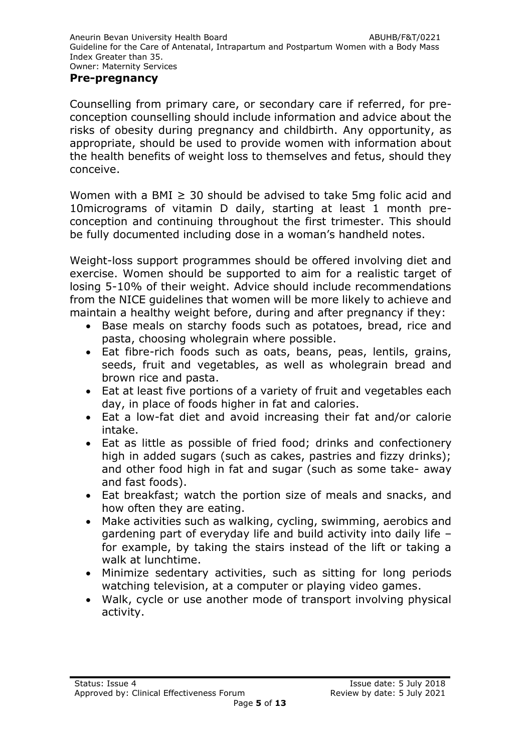#### **Pre-pregnancy**

Counselling from primary care, or secondary care if referred, for preconception counselling should include information and advice about the risks of obesity during pregnancy and childbirth. Any opportunity, as appropriate, should be used to provide women with information about the health benefits of weight loss to themselves and fetus, should they conceive.

Women with a BMI  $\geq$  30 should be advised to take 5mg folic acid and 10micrograms of vitamin D daily, starting at least 1 month preconception and continuing throughout the first trimester. This should be fully documented including dose in a woman's handheld notes.

Weight-loss support programmes should be offered involving diet and exercise. Women should be supported to aim for a realistic target of losing 5-10% of their weight. Advice should include recommendations from the NICE guidelines that women will be more likely to achieve and maintain a healthy weight before, during and after pregnancy if they:

- Base meals on starchy foods such as potatoes, bread, rice and pasta, choosing wholegrain where possible.
- Eat fibre-rich foods such as oats, beans, peas, lentils, grains, seeds, fruit and vegetables, as well as wholegrain bread and brown rice and pasta.
- Eat at least five portions of a variety of fruit and vegetables each day, in place of foods higher in fat and calories.
- Eat a low-fat diet and avoid increasing their fat and/or calorie intake.
- Eat as little as possible of fried food; drinks and confectionery high in added sugars (such as cakes, pastries and fizzy drinks); and other food high in fat and sugar (such as some take- away and fast foods).
- Eat breakfast; watch the portion size of meals and snacks, and how often they are eating.
- Make activities such as walking, cycling, swimming, aerobics and gardening part of everyday life and build activity into daily life – for example, by taking the stairs instead of the lift or taking a walk at lunchtime.
- Minimize sedentary activities, such as sitting for long periods watching television, at a computer or playing video games.
- Walk, cycle or use another mode of transport involving physical activity.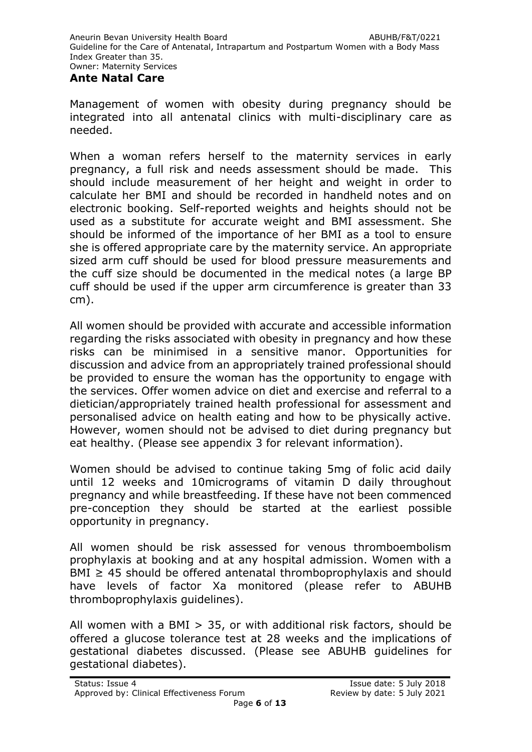#### **Ante Natal Care**

Management of women with obesity during pregnancy should be integrated into all antenatal clinics with multi-disciplinary care as needed.

When a woman refers herself to the maternity services in early pregnancy, a full risk and needs assessment should be made. This should include measurement of her height and weight in order to calculate her BMI and should be recorded in handheld notes and on electronic booking. Self-reported weights and heights should not be used as a substitute for accurate weight and BMI assessment. She should be informed of the importance of her BMI as a tool to ensure she is offered appropriate care by the maternity service. An appropriate sized arm cuff should be used for blood pressure measurements and the cuff size should be documented in the medical notes (a large BP cuff should be used if the upper arm circumference is greater than 33 cm).

All women should be provided with accurate and accessible information regarding the risks associated with obesity in pregnancy and how these risks can be minimised in a sensitive manor. Opportunities for discussion and advice from an appropriately trained professional should be provided to ensure the woman has the opportunity to engage with the services. Offer women advice on diet and exercise and referral to a dietician/appropriately trained health professional for assessment and personalised advice on health eating and how to be physically active. However, women should not be advised to diet during pregnancy but eat healthy. (Please see appendix 3 for relevant information).

Women should be advised to continue taking 5mg of folic acid daily until 12 weeks and 10micrograms of vitamin D daily throughout pregnancy and while breastfeeding. If these have not been commenced pre-conception they should be started at the earliest possible opportunity in pregnancy.

All women should be risk assessed for venous thromboembolism prophylaxis at booking and at any hospital admission. Women with a  $BMI \geq 45$  should be offered antenatal thromboprophylaxis and should have levels of factor Xa monitored (please refer to ABUHB thromboprophylaxis guidelines).

All women with a BMI > 35, or with additional risk factors, should be offered a glucose tolerance test at 28 weeks and the implications of gestational diabetes discussed. (Please see ABUHB guidelines for gestational diabetes).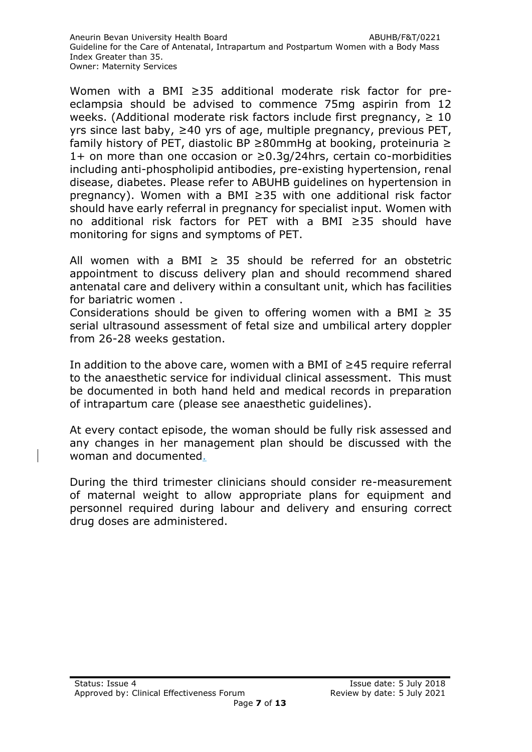Women with a BMI ≥35 additional moderate risk factor for preeclampsia should be advised to commence 75mg aspirin from 12 weeks. (Additional moderate risk factors include first pregnancy,  $\geq 10$ yrs since last baby, ≥40 yrs of age, multiple pregnancy, previous PET, family history of PET, diastolic BP ≥80mmHg at booking, proteinuria ≥ 1+ on more than one occasion or  $\geq$ 0.3g/24hrs, certain co-morbidities including anti-phospholipid antibodies, pre-existing hypertension, renal disease, diabetes. Please refer to ABUHB guidelines on hypertension in pregnancy). Women with a BMI ≥35 with one additional risk factor should have early referral in pregnancy for specialist input. Women with no additional risk factors for PET with a BMI ≥35 should have monitoring for signs and symptoms of PET.

All women with a BMI  $\geq$  35 should be referred for an obstetric appointment to discuss delivery plan and should recommend shared antenatal care and delivery within a consultant unit, which has facilities for bariatric women .

Considerations should be given to offering women with a BMI  $\geq$  35 serial ultrasound assessment of fetal size and umbilical artery doppler from 26-28 weeks gestation.

In addition to the above care, women with a BMI of ≥45 require referral to the anaesthetic service for individual clinical assessment. This must be documented in both hand held and medical records in preparation of intrapartum care (please see anaesthetic guidelines).

At every contact episode, the woman should be fully risk assessed and any changes in her management plan should be discussed with the woman and documented.

During the third trimester clinicians should consider re-measurement of maternal weight to allow appropriate plans for equipment and personnel required during labour and delivery and ensuring correct drug doses are administered.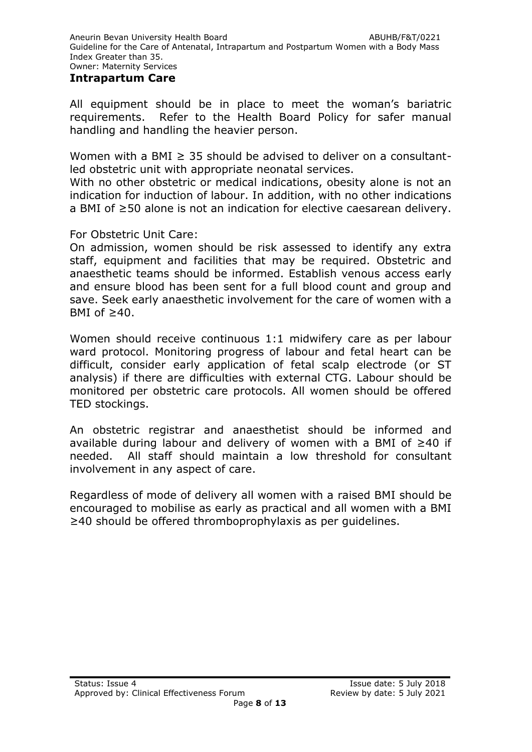#### **Intrapartum Care**

All equipment should be in place to meet the woman's bariatric requirements. Refer to the Health Board Policy for safer manual handling and handling the heavier person.

Women with a BMI  $\geq$  35 should be advised to deliver on a consultantled obstetric unit with appropriate neonatal services.

With no other obstetric or medical indications, obesity alone is not an indication for induction of labour. In addition, with no other indications a BMI of ≥50 alone is not an indication for elective caesarean delivery.

For Obstetric Unit Care:

On admission, women should be risk assessed to identify any extra staff, equipment and facilities that may be required. Obstetric and anaesthetic teams should be informed. Establish venous access early and ensure blood has been sent for a full blood count and group and save. Seek early anaesthetic involvement for the care of women with a BMI of  $\geq 40$ .

Women should receive continuous 1:1 midwifery care as per labour ward protocol. Monitoring progress of labour and fetal heart can be difficult, consider early application of fetal scalp electrode (or ST analysis) if there are difficulties with external CTG. Labour should be monitored per obstetric care protocols. All women should be offered TED stockings.

An obstetric registrar and anaesthetist should be informed and available during labour and delivery of women with a BMI of ≥40 if needed. All staff should maintain a low threshold for consultant involvement in any aspect of care.

Regardless of mode of delivery all women with a raised BMI should be encouraged to mobilise as early as practical and all women with a BMI ≥40 should be offered thromboprophylaxis as per guidelines.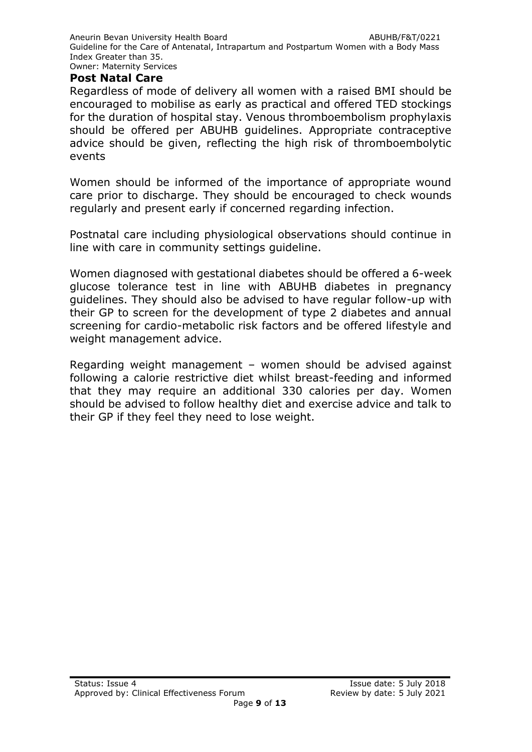#### **Post Natal Care**

Regardless of mode of delivery all women with a raised BMI should be encouraged to mobilise as early as practical and offered TED stockings for the duration of hospital stay. Venous thromboembolism prophylaxis should be offered per ABUHB guidelines. Appropriate contraceptive advice should be given, reflecting the high risk of thromboembolytic events

Women should be informed of the importance of appropriate wound care prior to discharge. They should be encouraged to check wounds regularly and present early if concerned regarding infection.

Postnatal care including physiological observations should continue in line with care in community settings guideline.

Women diagnosed with gestational diabetes should be offered a 6-week glucose tolerance test in line with ABUHB diabetes in pregnancy guidelines. They should also be advised to have regular follow-up with their GP to screen for the development of type 2 diabetes and annual screening for cardio-metabolic risk factors and be offered lifestyle and weight management advice.

Regarding weight management – women should be advised against following a calorie restrictive diet whilst breast-feeding and informed that they may require an additional 330 calories per day. Women should be advised to follow healthy diet and exercise advice and talk to their GP if they feel they need to lose weight.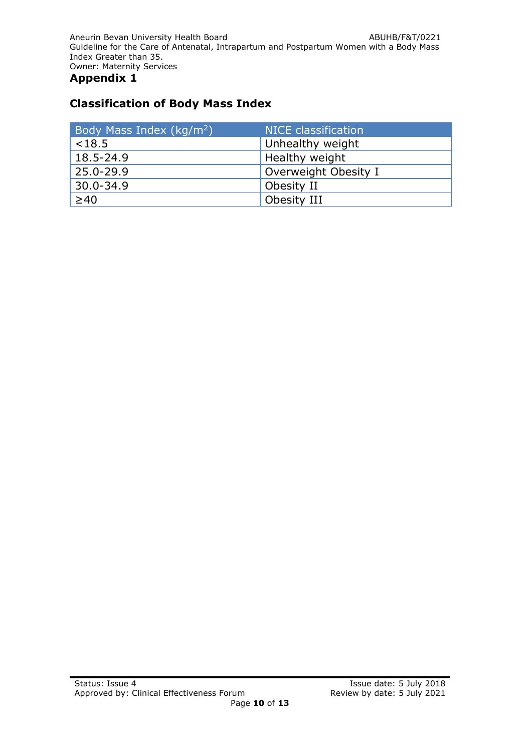# **Classification of Body Mass Index**

| Body Mass Index (kg/m <sup>2</sup> ) | <b>NICE</b> classification |
|--------------------------------------|----------------------------|
| $<$ 18.5                             | Unhealthy weight           |
| 18.5-24.9                            | Healthy weight             |
| 25.0-29.9                            | Overweight Obesity I       |
| $30.0 - 34.9$                        | Obesity II                 |
| $\geq 40$                            | Obesity III                |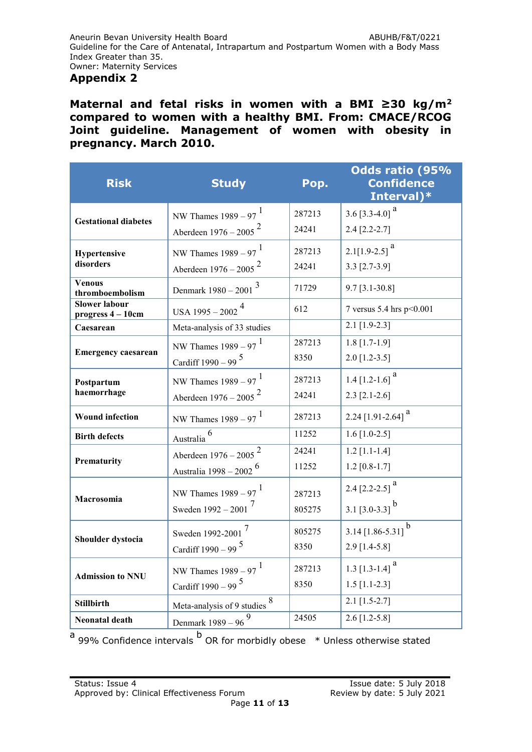**Maternal and fetal risks in women with a BMI ≥30 kg/m<sup>2</sup> compared to women with a healthy BMI. From: CMACE/RCOG Joint guideline. Management of women with obesity in pregnancy. March 2010.**

| <b>Risk</b>                               | <b>Study</b>                                                            | Pop.             | Odds ratio (95%<br><b>Confidence</b><br>Interval)*      |
|-------------------------------------------|-------------------------------------------------------------------------|------------------|---------------------------------------------------------|
| <b>Gestational diabetes</b>               | NW Thames $1989 - 97$ <sup>1</sup><br>Aberdeen $1976 - 2005^2$          | 287213<br>24241  | 3.6 [3.3-4.0] <sup>a</sup><br>$2.4$ [2.2-2.7]           |
| Hypertensive<br>disorders                 | NW Thames $1989 - 97$ <sup>1</sup><br>Aberdeen $1976 - 2005^2$          | 287213<br>24241  | $2.1[1.9-2.5]$ <sup>a</sup><br>$3.3$ [2.7-3.9]          |
| <b>Venous</b><br>thromboembolism          | Denmark $1980 - 2001$ <sup>3</sup>                                      | 71729            | $9.7$ [3.1-30.8]                                        |
| <b>Slower labour</b><br>progress 4 - 10cm | USA $1995 - 2002$ <sup>4</sup>                                          | 612              | 7 versus 5.4 hrs p<0.001                                |
| Caesarean                                 | Meta-analysis of 33 studies                                             |                  | $2.1$ [1.9-2.3]                                         |
| <b>Emergency caesarean</b>                | NW Thames $1989 - 97$ <sup>1</sup>                                      | 287213           | $1.8$ [1.7-1.9]                                         |
|                                           | Cardiff $1990 - 99$ <sup>5</sup>                                        | 8350             | $2.0$ [1.2-3.5]                                         |
| Postpartum                                | NW Thames $1989 - 97$ <sup>1</sup>                                      | 287213           | 1.4 [1.2-1.6] $^a$                                      |
| haemorrhage                               | Aberdeen $1976 - 2005^2$                                                | 24241            | $2.3$ [2.1-2.6]                                         |
| <b>Wound infection</b>                    | NW Thames $1989 - 97$ <sup>1</sup>                                      | 287213           | $2.24$ [1.91-2.64] <sup>a</sup>                         |
| <b>Birth defects</b>                      | Australia <sup>6</sup>                                                  | 11252            | 1.6 $[1.0-2.5]$                                         |
| Prematurity                               | Aberdeen 1976 - 2005<br>Australia 1998 – 2002 <sup>6</sup>              | 24241<br>11252   | $1.2$ [1.1-1.4]<br>$1.2$ [0.8-1.7]                      |
| Macrosomia                                | NW Thames $1989 - 97$ <sup>1</sup><br>Sweden $1992 - 2001$ <sup>7</sup> | 287213<br>805275 | 2.4 [2.2-2.5] $^{\text{a}}$<br>3.1 [3.0-3.3] $^{\rm b}$ |
| Shoulder dystocia                         | Sweden 1992-2001 <sup>7</sup><br>Cardiff $1990 - 99$ <sup>5</sup>       | 805275<br>8350   | 3.14 $[1.86 - 5.31]$ <sup>b</sup><br>$2.9$ [1.4-5.8]    |
| <b>Admission to NNU</b>                   | NW Thames $1989 - 97$ <sup>1</sup><br>Cardiff $1990 - 99$ <sup>5</sup>  | 287213<br>8350   | 1.3 $[1.3 - 1.4]$ <sup>a</sup><br>$1.5$ [1.1-2.3]       |
| <b>Stillbirth</b>                         | Meta-analysis of 9 studies $8$                                          |                  | $2.1$ [1.5-2.7]                                         |
| Neonatal death                            | Denmark $1989 - 96^{9}$                                                 | 24505            | $2.6$ [1.2-5.8]                                         |

 $a$  99% Confidence intervals  $b$  OR for morbidly obese  $a$  Unless otherwise stated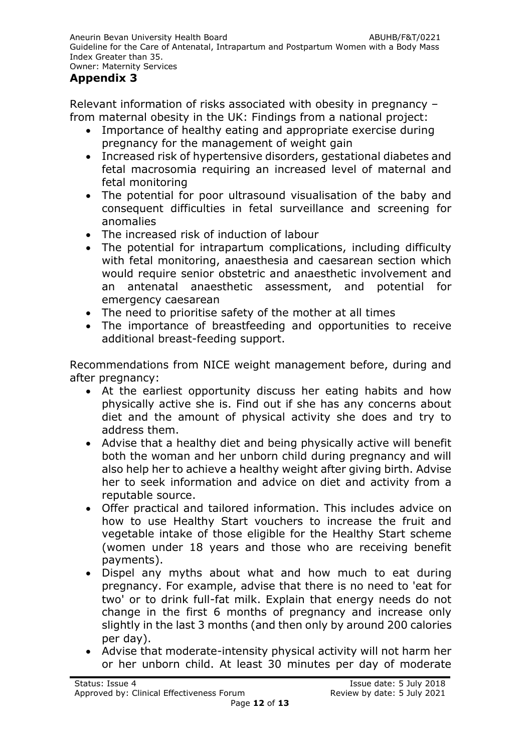# **Appendix 3**

Relevant information of risks associated with obesity in pregnancy – from maternal obesity in the UK: Findings from a national project:

- Importance of healthy eating and appropriate exercise during pregnancy for the management of weight gain
- Increased risk of hypertensive disorders, gestational diabetes and fetal macrosomia requiring an increased level of maternal and fetal monitoring
- The potential for poor ultrasound visualisation of the baby and consequent difficulties in fetal surveillance and screening for anomalies
- The increased risk of induction of labour
- The potential for intrapartum complications, including difficulty with fetal monitoring, anaesthesia and caesarean section which would require senior obstetric and anaesthetic involvement and an antenatal anaesthetic assessment, and potential for emergency caesarean
- The need to prioritise safety of the mother at all times
- The importance of breastfeeding and opportunities to receive additional breast-feeding support.

Recommendations from NICE weight management before, during and after pregnancy:

- At the earliest opportunity discuss her eating habits and how physically active she is. Find out if she has any concerns about diet and the amount of physical activity she does and try to address them.
- Advise that a healthy diet and being physically active will benefit both the woman and her unborn child during pregnancy and will also help her to achieve a healthy weight after giving birth. Advise her to seek information and advice on diet and activity from a reputable source.
- Offer practical and tailored information. This includes advice on how to use Healthy Start vouchers to increase the fruit and vegetable intake of those eligible for the Healthy Start scheme (women under 18 years and those who are receiving benefit payments).
- Dispel any myths about what and how much to eat during pregnancy. For example, advise that there is no need to 'eat for two' or to drink full-fat milk. Explain that energy needs do not change in the first 6 months of pregnancy and increase only slightly in the last 3 months (and then only by around 200 calories per day).
- Advise that moderate-intensity physical activity will not harm her or her unborn child. At least 30 minutes per day of moderate